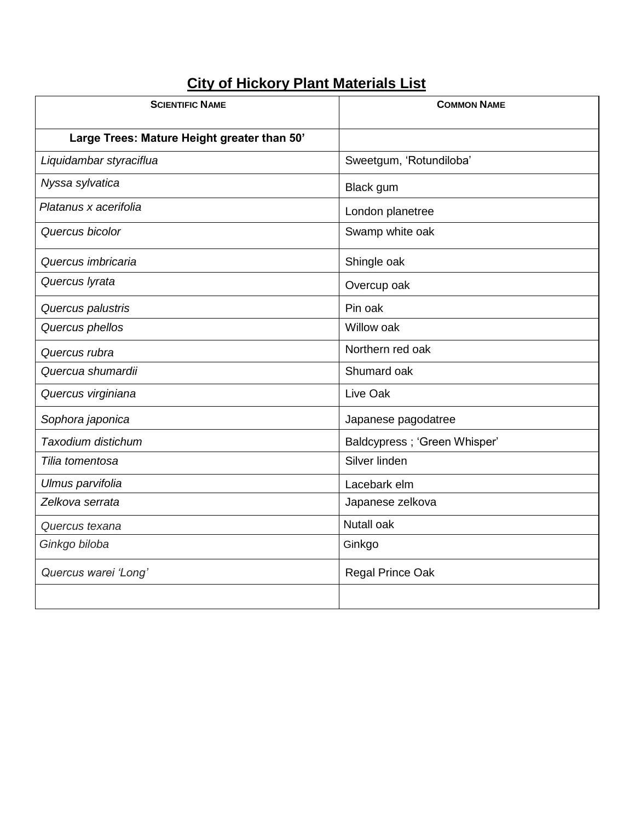## **City of Hickory Plant Materials List**

| <b>SCIENTIFIC NAME</b>                      | <b>COMMON NAME</b>           |
|---------------------------------------------|------------------------------|
| Large Trees: Mature Height greater than 50' |                              |
| Liquidambar styraciflua                     | Sweetgum, 'Rotundiloba'      |
| Nyssa sylvatica                             | Black gum                    |
| Platanus x acerifolia                       | London planetree             |
| Quercus bicolor                             | Swamp white oak              |
| Quercus imbricaria                          | Shingle oak                  |
| Quercus lyrata                              | Overcup oak                  |
| Quercus palustris                           | Pin oak                      |
| Quercus phellos                             | Willow oak                   |
| Quercus rubra                               | Northern red oak             |
| Quercua shumardii                           | Shumard oak                  |
| Quercus virginiana                          | Live Oak                     |
| Sophora japonica                            | Japanese pagodatree          |
| Taxodium distichum                          | Baldcypress; 'Green Whisper' |
| Tilia tomentosa                             | Silver linden                |
| Ulmus parvifolia                            | Lacebark elm                 |
| Zelkova serrata                             | Japanese zelkova             |
| Quercus texana                              | <b>Nutall oak</b>            |
| Ginkgo biloba                               | Ginkgo                       |
| Quercus warei 'Long'                        | Regal Prince Oak             |
|                                             |                              |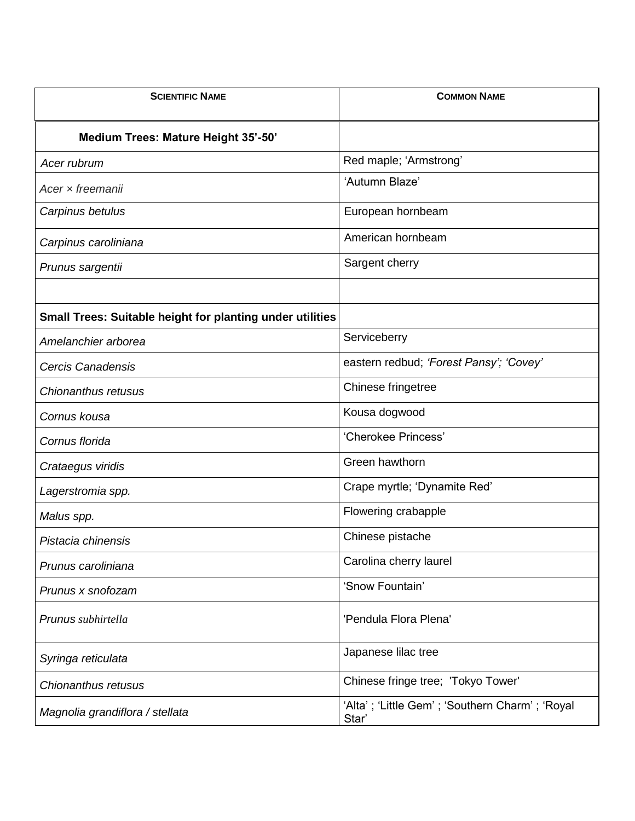| <b>SCIENTIFIC NAME</b>                                           | <b>COMMON NAME</b>                                      |
|------------------------------------------------------------------|---------------------------------------------------------|
| Medium Trees: Mature Height 35'-50'                              |                                                         |
| Acer rubrum                                                      | Red maple; 'Armstrong'                                  |
| Acer x freemanii                                                 | 'Autumn Blaze'                                          |
| Carpinus betulus                                                 | European hornbeam                                       |
| Carpinus caroliniana                                             | American hornbeam                                       |
| Prunus sargentii                                                 | Sargent cherry                                          |
|                                                                  |                                                         |
| <b>Small Trees: Suitable height for planting under utilities</b> |                                                         |
| Amelanchier arborea                                              | Serviceberry                                            |
| Cercis Canadensis                                                | eastern redbud; 'Forest Pansy'; 'Covey'                 |
| Chionanthus retusus                                              | Chinese fringetree                                      |
| Cornus kousa                                                     | Kousa dogwood                                           |
| Cornus florida                                                   | 'Cherokee Princess'                                     |
| Crataegus viridis                                                | Green hawthorn                                          |
| Lagerstromia spp.                                                | Crape myrtle; 'Dynamite Red'                            |
| Malus spp.                                                       | Flowering crabapple                                     |
| Pistacia chinensis                                               | Chinese pistache                                        |
| Prunus caroliniana                                               | Carolina cherry laurel                                  |
| Prunus x snofozam                                                | 'Snow Fountain'                                         |
| Prunus subhirtella                                               | 'Pendula Flora Plena'                                   |
| Syringa reticulata                                               | Japanese lilac tree                                     |
| Chionanthus retusus                                              | Chinese fringe tree; 'Tokyo Tower'                      |
| Magnolia grandiflora / stellata                                  | 'Alta'; 'Little Gem'; 'Southern Charm'; 'Royal<br>Star' |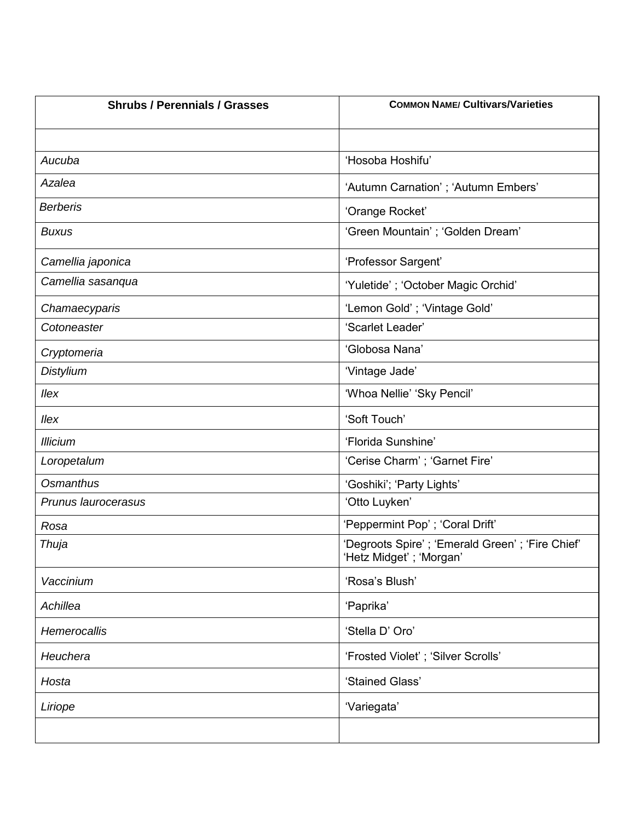| <b>Shrubs / Perennials / Grasses</b> | <b>COMMON NAME/ Cultivars/Varieties</b>                                     |
|--------------------------------------|-----------------------------------------------------------------------------|
|                                      |                                                                             |
| Aucuba                               | 'Hosoba Hoshifu'                                                            |
| Azalea                               | 'Autumn Carnation'; 'Autumn Embers'                                         |
| <b>Berberis</b>                      | 'Orange Rocket'                                                             |
| <b>Buxus</b>                         | 'Green Mountain' ; 'Golden Dream'                                           |
| Camellia japonica                    | 'Professor Sargent'                                                         |
| Camellia sasanqua                    | 'Yuletide'; 'October Magic Orchid'                                          |
| Chamaecyparis                        | 'Lemon Gold'; 'Vintage Gold'                                                |
| Cotoneaster                          | 'Scarlet Leader'                                                            |
| Cryptomeria                          | 'Globosa Nana'                                                              |
| <b>Distylium</b>                     | 'Vintage Jade'                                                              |
| llex                                 | 'Whoa Nellie' 'Sky Pencil'                                                  |
| llex                                 | 'Soft Touch'                                                                |
| <b>Illicium</b>                      | 'Florida Sunshine'                                                          |
| Loropetalum                          | 'Cerise Charm'; 'Garnet Fire'                                               |
| Osmanthus                            | 'Goshiki'; 'Party Lights'                                                   |
| Prunus laurocerasus                  | 'Otto Luyken'                                                               |
| Rosa                                 | 'Peppermint Pop'; 'Coral Drift'                                             |
| Thuja                                | 'Degroots Spire'; 'Emerald Green'; 'Fire Chief'<br>'Hetz Midget' ; 'Morgan' |
| Vaccinium                            | 'Rosa's Blush'                                                              |
| Achillea                             | 'Paprika'                                                                   |
| Hemerocallis                         | 'Stella D' Oro'                                                             |
| Heuchera                             | 'Frosted Violet'; 'Silver Scrolls'                                          |
| Hosta                                | 'Stained Glass'                                                             |
| Liriope                              | 'Variegata'                                                                 |
|                                      |                                                                             |